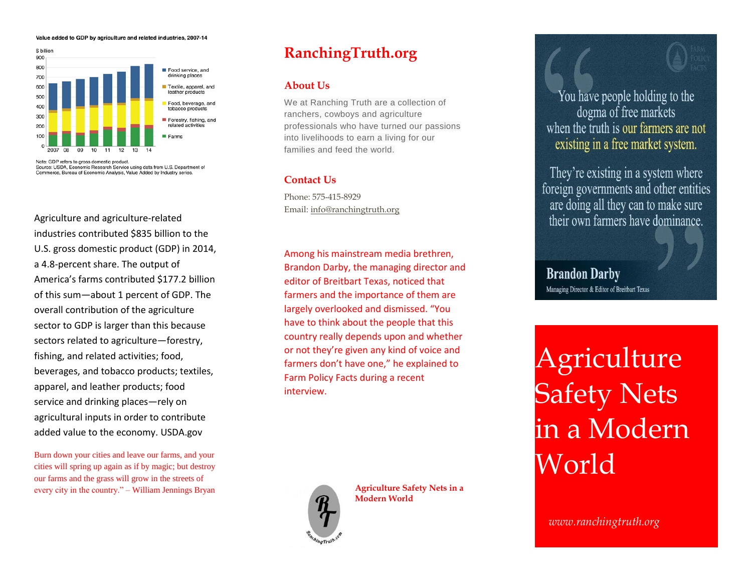#### Value added to GDP by agriculture and related industries, 2007-14



Source: USDA, Economic Research Service using data from U.S. Department of Commerce, Bureau of Economic Analysis, Value Added by Industry series.

Agriculture and agriculture-related industries contributed \$835 billion to the U.S. gross domestic product (GDP) in 2014, a 4.8-percent share. The output of America's farms contributed \$177.2 billion of this sum—about 1 percent of GDP. The overall contribution of the agriculture sector to GDP is larger than this because sectors related to agriculture—forestry, fishing, and related activities; food, beverages, and tobacco products; textiles, apparel, and leather products; food service and drinking places—rely on agricultural inputs in order to contribute added value to the economy. USDA.gov

Burn down your cities and leave our farms, and your cities will spring up again as if by magic; but destroy our farms and the grass will grow in the streets of every city in the country." – William Jennings Bryan

# **RanchingTruth.org**

#### **About Us**

We at Ranching Truth are a collection of ranchers, cowboys and agriculture professionals who have turned our passions into livelihoods to earn a living for our families and feed the world.

### **Contact Us**

Phone: 575-415-8929 Email: [info@ranchingtruth.org](mailto:info@ranchingtruth.org)

Among his mainstream media brethren, Brandon Darby, the managing director and editor of Breitbart Texas, noticed that farmers and the importance of them are largely overlooked and dismissed. "You have to think about the people that this country really depends upon and whether or not they're given any kind of voice and farmers don't have one," he explained to Farm Policy Facts during a recent interview.



**Agriculture Safety Nets in a Modern World**

You have people holding to the dogma of free markets when the truth is our farmers are not existing in a free market system.

They're existing in a system where foreign governments and other entities are doing all they can to make sure their own farmers have dominance.

**Brandon Darby** Managing Director & Editor of Breitbart Texas

Agriculture **Safety Nets** in a Modern World

*www.ranchingtruth.org*